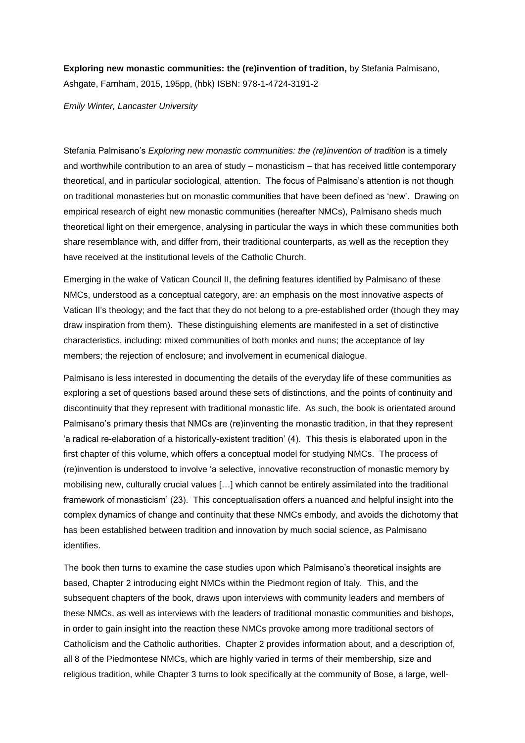**Exploring new monastic communities: the (re)invention of tradition,** by Stefania Palmisano, Ashgate, Farnham, 2015, 195pp, (hbk) ISBN: 978-1-4724-3191-2

*Emily Winter, Lancaster University*

Stefania Palmisano's *Exploring new monastic communities: the (re)invention of tradition* is a timely and worthwhile contribution to an area of study – monasticism – that has received little contemporary theoretical, and in particular sociological, attention. The focus of Palmisano's attention is not though on traditional monasteries but on monastic communities that have been defined as 'new'. Drawing on empirical research of eight new monastic communities (hereafter NMCs), Palmisano sheds much theoretical light on their emergence, analysing in particular the ways in which these communities both share resemblance with, and differ from, their traditional counterparts, as well as the reception they have received at the institutional levels of the Catholic Church.

Emerging in the wake of Vatican Council II, the defining features identified by Palmisano of these NMCs, understood as a conceptual category, are: an emphasis on the most innovative aspects of Vatican II's theology; and the fact that they do not belong to a pre-established order (though they may draw inspiration from them). These distinguishing elements are manifested in a set of distinctive characteristics, including: mixed communities of both monks and nuns; the acceptance of lay members; the rejection of enclosure; and involvement in ecumenical dialogue.

Palmisano is less interested in documenting the details of the everyday life of these communities as exploring a set of questions based around these sets of distinctions, and the points of continuity and discontinuity that they represent with traditional monastic life. As such, the book is orientated around Palmisano's primary thesis that NMCs are (re)inventing the monastic tradition, in that they represent 'a radical re-elaboration of a historically-existent tradition' (4). This thesis is elaborated upon in the first chapter of this volume, which offers a conceptual model for studying NMCs. The process of (re)invention is understood to involve 'a selective, innovative reconstruction of monastic memory by mobilising new, culturally crucial values […] which cannot be entirely assimilated into the traditional framework of monasticism' (23). This conceptualisation offers a nuanced and helpful insight into the complex dynamics of change and continuity that these NMCs embody, and avoids the dichotomy that has been established between tradition and innovation by much social science, as Palmisano identifies.

The book then turns to examine the case studies upon which Palmisano's theoretical insights are based, Chapter 2 introducing eight NMCs within the Piedmont region of Italy. This, and the subsequent chapters of the book, draws upon interviews with community leaders and members of these NMCs, as well as interviews with the leaders of traditional monastic communities and bishops, in order to gain insight into the reaction these NMCs provoke among more traditional sectors of Catholicism and the Catholic authorities. Chapter 2 provides information about, and a description of, all 8 of the Piedmontese NMCs, which are highly varied in terms of their membership, size and religious tradition, while Chapter 3 turns to look specifically at the community of Bose, a large, well